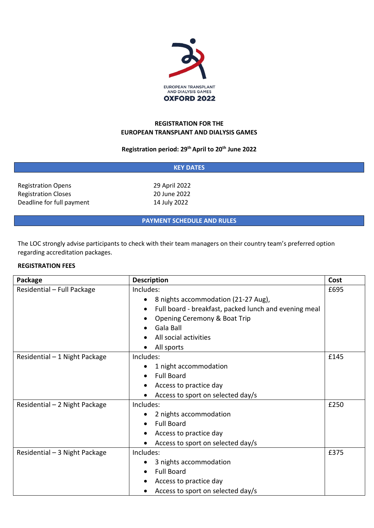

## **REGISTRATION FOR THE EUROPEAN TRANSPLANT AND DIALYSIS GAMES**

# **Registration period: 29th April to 20th June 2022**

| <b>KEY DATES</b>           |               |  |  |
|----------------------------|---------------|--|--|
| <b>Registration Opens</b>  | 29 April 2022 |  |  |
| <b>Registration Closes</b> | 20 June 2022  |  |  |
| Deadline for full payment  | 14 July 2022  |  |  |
|                            |               |  |  |

**PAYMENT SCHEDULE AND RULES**

The LOC strongly advise participants to check with their team managers on their country team's preferred option regarding accreditation packages.

## **REGISTRATION FEES**

| Package                       | <b>Description</b>                                    | Cost |
|-------------------------------|-------------------------------------------------------|------|
| Residential - Full Package    | Includes:                                             | £695 |
|                               | 8 nights accommodation (21-27 Aug),                   |      |
|                               | Full board - breakfast, packed lunch and evening meal |      |
|                               | Opening Ceremony & Boat Trip                          |      |
|                               | Gala Ball                                             |      |
|                               | All social activities                                 |      |
|                               | All sports                                            |      |
| Residential - 1 Night Package | Includes:                                             | £145 |
|                               | 1 night accommodation                                 |      |
|                               | <b>Full Board</b>                                     |      |
|                               | Access to practice day                                |      |
|                               | Access to sport on selected day/s                     |      |
| Residential - 2 Night Package | Includes:                                             | £250 |
|                               | 2 nights accommodation                                |      |
|                               | <b>Full Board</b>                                     |      |
|                               | Access to practice day                                |      |
|                               | Access to sport on selected day/s                     |      |
| Residential - 3 Night Package | Includes:                                             | £375 |
|                               | 3 nights accommodation                                |      |
|                               | <b>Full Board</b>                                     |      |
|                               | Access to practice day                                |      |
|                               | Access to sport on selected day/s                     |      |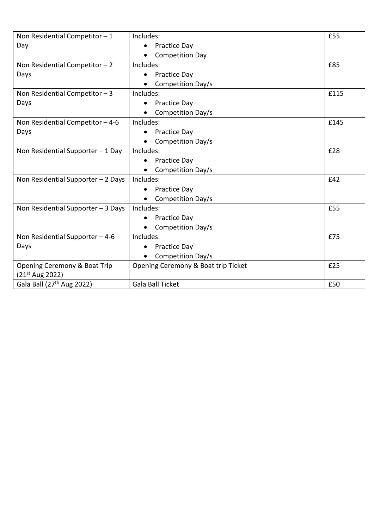| Non Residential Competitor $-1$       | Includes:                           | £55  |
|---------------------------------------|-------------------------------------|------|
| Day                                   | Practice Day<br>$\bullet$           |      |
|                                       | <b>Competition Day</b>              |      |
| Non Residential Competitor $-2$       | Includes:                           | £85  |
| Days                                  | Practice Day                        |      |
|                                       | Competition Day/s<br>$\bullet$      |      |
| Non Residential Competitor $-3$       | Includes:                           | £115 |
| Days                                  | <b>Practice Day</b>                 |      |
|                                       | Competition Day/s                   |      |
| Non Residential Competitor $-4-6$     | Includes:                           | £145 |
| Days                                  | Practice Day                        |      |
|                                       | Competition Day/s                   |      |
| Non Residential Supporter $-1$ Day    | Includes:                           | £28  |
|                                       | <b>Practice Day</b><br>$\bullet$    |      |
|                                       | Competition Day/s                   |      |
| Non Residential Supporter - 2 Days    | Includes:                           | £42  |
|                                       | Practice Day                        |      |
|                                       | Competition Day/s                   |      |
| Non Residential Supporter $-3$ Days   | Includes:                           | £55  |
|                                       | <b>Practice Day</b>                 |      |
|                                       | Competition Day/s                   |      |
| Non Residential Supporter $-4-6$      | Includes:                           | £75  |
| Days                                  | Practice Day<br>$\bullet$           |      |
|                                       | Competition Day/s                   |      |
| Opening Ceremony & Boat Trip          | Opening Ceremony & Boat trip Ticket | £25  |
| $(21^{st}$ Aug 2022)                  |                                     |      |
| Gala Ball (27 <sup>th</sup> Aug 2022) | Gala Ball Ticket                    | £50  |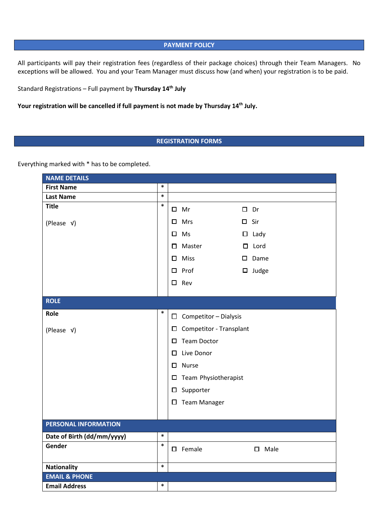#### **PAYMENT POLICY**

All participants will pay their registration fees (regardless of their package choices) through their Team Managers. No exceptions will be allowed. You and your Team Manager must discuss how (and when) your registration is to be paid.

Standard Registrations – Full payment by **Thursday 14th July**

Your registration will be cancelled if full payment is not made by Thursday 14<sup>th</sup> July.

# **REGISTRATION FORMS**

Everything marked with \* has to be completed.

| <b>NAME DETAILS</b>        |        |   |                                   |               |                |
|----------------------------|--------|---|-----------------------------------|---------------|----------------|
| <b>First Name</b>          | $\ast$ |   |                                   |               |                |
| <b>Last Name</b>           | $\ast$ |   |                                   |               |                |
| <b>Title</b>               | $\ast$ |   | $\Box$ Mr                         | $\square$ Dr  |                |
| (Please v)                 |        |   | $\square$ Mrs                     | $\square$ Sir |                |
|                            |        |   | $\square$ Ms                      |               | $\Box$ Lady    |
|                            |        | □ | Master                            |               | $\square$ Lord |
|                            |        | □ | Miss                              |               | $\square$ Dame |
|                            |        | □ | Prof                              |               | $\Box$ Judge   |
|                            |        |   | $\square$ Rev                     |               |                |
| <b>ROLE</b>                |        |   |                                   |               |                |
|                            |        |   |                                   |               |                |
| Role                       | $\ast$ |   | $\Box$ Competitor - Dialysis      |               |                |
| (Please v)                 |        |   | $\square$ Competitor - Transplant |               |                |
|                            |        | □ | <b>Team Doctor</b>                |               |                |
|                            |        | 0 | Live Donor                        |               |                |
|                            |        | □ | Nurse                             |               |                |
|                            |        |   | $\square$ Team Physiotherapist    |               |                |
|                            |        |   | $\square$ Supporter               |               |                |
|                            |        |   | $\square$ Team Manager            |               |                |
|                            |        |   |                                   |               |                |
| PERSONAL INFORMATION       |        |   |                                   |               |                |
| Date of Birth (dd/mm/yyyy) | $\ast$ |   |                                   |               |                |
| Gender                     | $\ast$ |   | $\Box$ Female                     |               | D Male         |
| <b>Nationality</b>         | $\ast$ |   |                                   |               |                |
| <b>EMAIL &amp; PHONE</b>   |        |   |                                   |               |                |
| <b>Email Address</b>       | $\ast$ |   |                                   |               |                |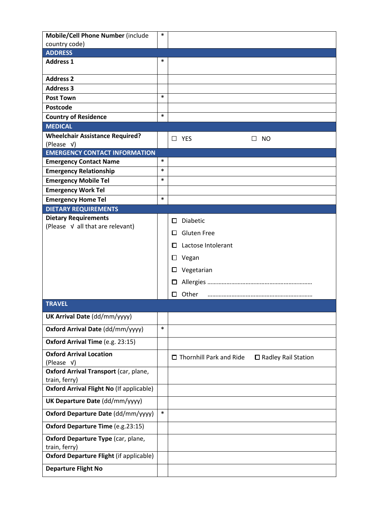| Mobile/Cell Phone Number (include                   | ∗      |                                                         |
|-----------------------------------------------------|--------|---------------------------------------------------------|
| country code)                                       |        |                                                         |
| <b>ADDRESS</b>                                      |        |                                                         |
| <b>Address 1</b>                                    | $\ast$ |                                                         |
| <b>Address 2</b>                                    |        |                                                         |
| <b>Address 3</b>                                    |        |                                                         |
| <b>Post Town</b>                                    | $\ast$ |                                                         |
| Postcode                                            |        |                                                         |
| <b>Country of Residence</b>                         | $\ast$ |                                                         |
| <b>MEDICAL</b>                                      |        |                                                         |
| <b>Wheelchair Assistance Required?</b>              |        | $\Box$ YES<br>NO<br>$\perp$                             |
| (Please V)<br><b>EMERGENCY CONTACT INFORMATION</b>  |        |                                                         |
| <b>Emergency Contact Name</b>                       | ∗      |                                                         |
| <b>Emergency Relationship</b>                       | $\ast$ |                                                         |
| <b>Emergency Mobile Tel</b>                         | $\ast$ |                                                         |
| <b>Emergency Work Tel</b>                           |        |                                                         |
| <b>Emergency Home Tel</b>                           | $\ast$ |                                                         |
| <b>DIETARY REQUIREMENTS</b>                         |        |                                                         |
| <b>Dietary Requirements</b>                         |        | Diabetic<br>□                                           |
| (Please V all that are relevant)                    |        | <b>Gluten Free</b><br>П                                 |
|                                                     |        |                                                         |
|                                                     |        | Lactose Intolerant<br>O                                 |
|                                                     |        | Vegan<br>ப                                              |
|                                                     |        | Vegetarian<br>□                                         |
|                                                     |        | $\Box$                                                  |
|                                                     |        | Other<br>0                                              |
| <b>TRAVEL</b>                                       |        |                                                         |
| UK Arrival Date (dd/mm/yyyy)                        |        |                                                         |
| Oxford Arrival Date (dd/mm/yyyy)                    | $\ast$ |                                                         |
| Oxford Arrival Time (e.g. 23:15)                    |        |                                                         |
| <b>Oxford Arrival Location</b>                      |        |                                                         |
| (Please v)                                          |        | $\Box$ Thornhill Park and Ride<br>□ Radley Rail Station |
| Oxford Arrival Transport (car, plane,               |        |                                                         |
| train, ferry)                                       |        |                                                         |
| <b>Oxford Arrival Flight No (If applicable)</b>     |        |                                                         |
| UK Departure Date (dd/mm/yyyy)                      |        |                                                         |
| Oxford Departure Date (dd/mm/yyyy)                  | $\ast$ |                                                         |
| Oxford Departure Time (e.g.23:15)                   |        |                                                         |
| Oxford Departure Type (car, plane,<br>train, ferry) |        |                                                         |
| <b>Oxford Departure Flight (if applicable)</b>      |        |                                                         |
| <b>Departure Flight No</b>                          |        |                                                         |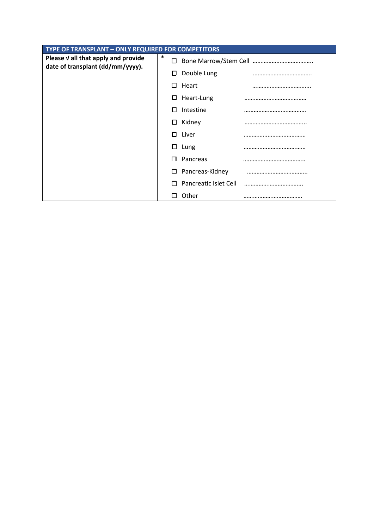| TYPE OF TRANSPLANT - ONLY REQUIRED FOR COMPETITORS                      |        |                 |                       |  |
|-------------------------------------------------------------------------|--------|-----------------|-----------------------|--|
| Please V all that apply and provide<br>date of transplant (dd/mm/yyyy). | $\ast$ | □               |                       |  |
|                                                                         |        | □               | Double Lung           |  |
|                                                                         |        | Heart<br>П      |                       |  |
|                                                                         |        | Heart-Lung<br>ப |                       |  |
|                                                                         |        | Intestine<br>П  |                       |  |
|                                                                         |        | Kidney<br>□     |                       |  |
|                                                                         |        | Liver<br>п      |                       |  |
|                                                                         |        | $\Box$<br>Lung  |                       |  |
|                                                                         |        | Pancreas<br>п   |                       |  |
|                                                                         |        | □               | Pancreas-Kidney       |  |
|                                                                         |        | П               | Pancreatic Islet Cell |  |
|                                                                         |        | Other<br>ΙI     |                       |  |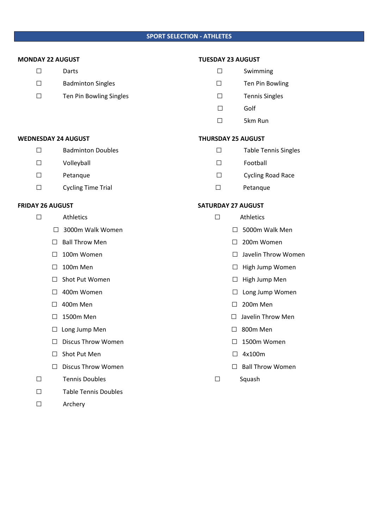## **SPORT SELECTION - ATHLETES**

- 
- □ Badminton Singles □ Ten Pin Bowling
- □ Ten Pin Bowling Singles □ Tennis Singles

## **MONDAY 22 AUGUST TUESDAY 23 AUGUST**

- □ Darts □ Swimming
	-
	-
- □ Golf
	- □ 5km Run

#### WEDNESDAY 24 AUGUST **THURSDAY 25 AUGUST**

- □ Badminton Doubles □ Table Tennis Singles
- □ Volleyball Football
	- □ Petanque Petanque Petance Petance Petance Petance Petance Petance Petance Petance Petance Petance Petance Petance Petance Petance Petance Petance Petance Petance Petance Petance Petance Petance Petance Petance Petance P
	- □ Cycling Time Trial □ Petanque

#### **FRIDAY 26 AUGUST SATURDAY 27 AUGUST**

- - □ 5000m Walk Men
	- □ 200m Women
	- □ Javelin Throw Women
	- □ High Jump Women
	- □ High Jump Men
	- □ Long Jump Women
	- □ 200m Men
	- □ Javelin Throw Men
	- $\Box$  800m Men
	- $\Box$  1500m Women
	-
	-
- 

|              | <b>Athletics</b>          | Athletics                       |
|--------------|---------------------------|---------------------------------|
| П            | 3000m Walk Women          | 5000m<br>$\perp$                |
| $\mathbf{L}$ | <b>Ball Throw Men</b>     | 200 <sub>m</sub> W              |
|              | 100m Women                | Javelin <sup>-</sup><br>$\perp$ |
| $\perp$      | 100m Men                  | High Jur<br>ப                   |
|              | Shot Put Women            | High Jur<br>ப                   |
|              | 400m Women                | Long Ju<br>ப                    |
| П            | 400m Men                  | 200m M<br>$\mathsf{L}$          |
| $\perp$      | 1500m Men                 | Javelin T<br>Ш                  |
|              | Long Jump Men             | 800m M<br>$\perp$               |
|              | <b>Discus Throw Women</b> | 1500m                           |
|              |                           |                                 |

- □ Shot Put Men □ 2x100m
- □ Discus Throw Women □ Ball Throw Women
- □ Tennis Doubles □ Squash
- □ Table Tennis Doubles
- □ Archery